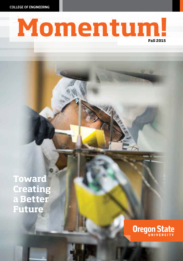COLLEGE OF ENGINEERING



**Toward Creating a Better Future**

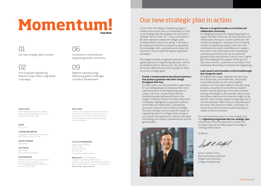### Momentum! **Fall 2015**

01 Our new strategic plan in action

### 02

First Graduate Engineering Research Expo makes a big splash in Portland

### FRONT COVER

Kamesh Mullapudi prepares a flexible polyimide substrate for glucose sensor processing and fabrication.

EDITOR

Thuy T. Tran

CONTRIBUTING WRITERS Gregg Kleiner, Cathleen Hockman-Wert, Marie Oliver, and Thuy T. Tran

GRAPHIC DESIGNER Jack Forkey

COPY EDITOR Marie Oliver (Clarity Writing & Editing)

#### PHOTOGRAPHERS

Hannah Gustin, Mitch Lea, Karl Maasdam, Hannah O'leary, and Justin Smith. Photo of Engineers Without Borders is courtesy of OSU-EWB.

#### BACK COVER

06

 $\bigcap C$ 

Investment in humanitarian engineering builds community

Additive manufacturing: Addressing global challenges in product development

In 2012, OSU Engineers Without Borders worked with community members in Lela, Kenya, to build a well and rainwater catchment system that now supplies easily accessible drinking water for residents.

### COLLEGE OF ENGINEERING

Oregon State University 101 Covell Hall Corvallis, OR 97331 541-737-3101 engineering.oregonstate.edu

Momentum! is published by the College of Engineering's Marketing and Communications group. Comments and questions about this publication can be sent to the editor at editor@engr.oregonstate.edu

### Our new strategic plan in action

In June 2014, the College of Engineering began a collaborative process with our stakeholders to craft a new strategic plan that supports the university's *Strategic Plan* 3.0 2014–18 — *Focus on Excellence.* We were pleased to release the college's plan, *Creating a Better Future,* this spring. It will help us be responsive to the times and give our graduates the knowledge, skills, and professional values that tomorrow's truly exceptional engineering leaders will require.

The college is already recognized nationally for its applied approach to engineering education, and we are poised to build on that success. Our stories in this issue of *Momentum!* put the spotlight on three of our four strategic goals:

• Provide a transformational educational experience that produces graduates who drive change throughout their lives.

For many years, we have provided an opportunity for our undergraduates to showcase their senior capstone projects at the Engineering Expo on campus. This year, we also hosted the first Graduate Engineering Research Expo at the Oregon Convention Center in Portland. More than 250 displays highlighted our graduate students' remarkable accomplishments, representing innovative research at the forefront of change. The event strongly communicated the impact of engineering research at Oregon State and gave our students the opportunity to discuss their ideas and findings with industry representatives and the general public.



### • Become a recognized model as an inclusive and collaborative community.

Our fledgling Humanitarian Engineering program is a great example of the ways we foster diversity and collaboration among our students and faculty. We created this program in response to the increasing number of engineering students who want their contributions to make a real difference in people's lives, here in the United States and in developing countries around the world. We are extremely grateful to Dick and Gretchen Evans for their original gifts that helped get the program off the ground and, more recently, created one of the nation's first endowed professorships in humanitarian engineering.

### • Lead research and innovation to drive breakthroughs that change the world.

Throughout the college, engineers are searching for economically, environmentally, and socially sustainable solutions to 21st century global problems. Our story about additive manufacturing provides a snapshot of several diverse research projects that are applying or eventually will apply printing technologies to dramatically reduce waste and achieve objectives that otherwise might not be possible. Some of these projects are getting close to commercialization. When they are unleashed upon the world, they promise to make a real impact on human lives and the economy while reducing our impact on the environment.

For more information about our new strategic plan, visit engineering.oregonstate.edu/coe-strategic-plan. I would love to have the opportunity to chat with you about how you can help support the college in creating a better future.

Go Beavs!

Swith a delft

Scott A. Ashford, Ph.D. Kearney Professor and Dean Oregon State University College of Engineering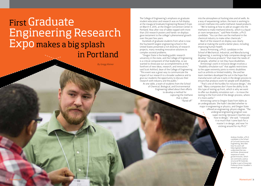## First Graduate Engineering Research Expo makes a big splash in Portland

*By Gregg Kleiner*

The College of Engineering's emphasis on graduate student education and research was on full display at the inaugural Graduate Engineering Research Expo on March 4, 2015, at the Oregon Convention Center in Portland. Row after row of tables topped with more than 250 research posters and hands-on displays gave testament to the college's phenomenal growth over the past few years.

Hundreds of graduate students from what is now the fourteenth largest engineering school in the United States presented a rich diversity of research projects, many revealing innovative solutions to complex societal problems.

"Oregon State is the leading public research university in the state, and the College of Engineering is a critical component of that leadership, so we wanted to showcase our accomplishments at the forefront of new ideas, research, and innovation," said Scott Ashford, dean of the College of Engineering. "This event was a great way to communicate the impact of our research to a broader audience and to give our students the opportunity to discuss their research with industry and the public."

At one table, a team of students from the School of Chemical, Biological, and Environmental Engineering talked about their efforts to develop a method for capturing the methane that is often "flared off"

into the atmosphere at fracking sites and oil wells. As a way of sequestering carbon, the team is working to convert methane into useful methanol-based products.

"We're looking at how to add an oxygen into the methane to make methanol directly, which is a liquid at room temperature," said Peter Kreider, a Ph.D. candidate. "You can then use the methanol in the chemical industry to make other chemicals."

Much of the research on display was clearly aimed at making the world a better place, including improving human health.

Jessica Armstrong, a Ph.D. candidate in the School of Mechanical, Industrial, and Manufacturing Engineering, is working to help companies design and develop "inclusive products" that meet the needs of all people, whether or not they have disabilities.

Armstrong's work in inclusive design involves a "disability simulation suit" that applies restrictions to the upper extremity joints to mimic disabilities such as arthritis or limited mobility. She and her team members developed the suit in the hope that manufacturers will use it early in the design process to ensure that products work for people with disabilities.

"That's one of the hurdles for inclusive design," she said. "Many companies don't have the ability to do this type of testing up front, which is why we want to offer our disability simulation suit  $-$  to move the testing to the front end of the design process, where it's more useful."

Armstrong came to Oregon State from Idaho as an undergraduate. She hadn't decided whether to major in engineering or physics, and Oregon State offered an engineering-physics degree. "The undergrad engineering program was super exciting, because it teaches you how to design," she said. "I enjoyed it so much that I came back for a master's in design, and now I'm sticking around for my Ph.D."

> Andrew Strahler, a Ph.D. candidate in the School of Civil and Construction Engineering, describes how his work will help engineers better understand the twoand three-dimensional response of sandy gravel mixtures, which are commonly used as structural fill materials. Strahler is part of Associate Professor Armin Stuedlein's research group.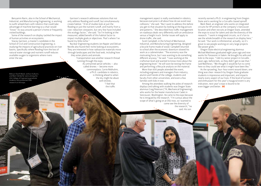Benyamin Narin, also in the School of Mechanical, Industrial, and Manufacturing Engineering, is working to outfit wheelchairs with robotics that could take advantage of machine learning so a chair would "know" its way around a person's home or frequently visited buildings.

Some of the research on display tackled the impact of human activities on ecosystems.

Stacey Garrison, a master's candidate in the School of Civil and Construction Engineering, is studying the impacts of agricultural practices on river basins, specifically where flooding from the loss of natural water storage and nutrient runoff reduces available oxygen to organisms where rivers enter the sea.

Mahyar Sharifi Mood, Janhavi Kulkarni, and Matt Viehdorfer were among the 250 College of Engineering graduate students who presented their research at the expo.

Garrison's research addresses solutions that not only address flooding and runoff, but simultaneously create habitat. "A lot of studies look at just the flooding or just the nutrient runoff, and mainly from a cost-reduction viewpoint, but very few have included this ecology factor," she said. "So I'm looking at the measured, added benefit of this habitat factor to impact multiple goals or objectives. That's where I've found my little niche."

Nuclear Engineering students Jon Napier and Delvan Neville also found their niche looking at ecosystems. They are interested in how radioactive materials move through landscapes and the food web, including how they enter plants and animals.

> Transportation was another research thread running through the expo.

As unmanned aerial vehicles — also called drones — become more commonplace, Carrie Rebhuhm, a Ph.D. candidate in robotics, is thinking ahead to when the sky might be abuzz with drones. "I feel that the traffic

management aspect is really overlooked in robotics, because everyone is all about how do we avoid near collisions," she said. "But I want to address this before you get to that situation by looking at the big picture and patterns." She described how traffic management on roadways deals very differently with an ambulance versus a freight truck. Similar issues will apply to drone traffic, she said.

Scott Campbell, in the School of Mechanical, Industrial, and Manufacturing Engineering, designed a bicycle frame made of wood. Campbell returned to school after the economic downturn slowed his work as a cabinetmaker. "The economy was the motivating force, but I was wanting to do something different anyway," he said. "I was working at the craftsman level and wanted to know more about the engineering level." He will soon be testing the frame and performing a lifecycle analysis on the material.

More than 600 people attended the event, including engineers and managers from industry, alumni and friends of the college, students and faculty from other universities, and even a few families with kids in tow.

Among the attendees walking the aisles of research displays and talking with students was Oregon State alumnus Craig Peterson ('79, Mechanical Engineering), who works for the heater manufacturer Cadet in Vancouver, Washington. He came to the expo because he is intrigued by the research. "I'm curious about the scope of what's going on at OSU now, so I wanted to come see the diversity of the research," he said. His son

recently earned a Ph.D. in engineering from Oregon State and is working for a Corvallis-based spinoff.

Mark Reed, an engineer who works on integrated circuits for HP printers at the company's Vancouver location and often recruits at Oregon State, attended the expo to scout for talent and see the diversity of the research. "I work in integrated circuits, so it's fun to see the whole breadth of the research on display here," he said. "Our work is infinitesimal, actually, so it's great to see people working on very large projects like power grids."

Oregon State electrical engineering alumnus Michael Matthews graduated eight years ago and now works for Panasonic in Salem. He brought his wife and kids to the expo. "I did my senior project in Corvallis years ago, before kids, so they didn't get to see that," said Matthews. "We thought it would be fun to come here so they could see what it might have been like."

As the sprawling, four-hour event wound down, one thing was clear: research by Oregon State graduate students is impressive and important, and impacts nearly every aspect of our lives. If the level of turnout and enthusiasm for this year's inaugural event is any indication, next year's expo is bound to be even bigger and better. M!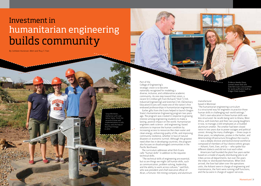## Investment in humanitarian engineering builds community

By Cathleen Hockman-Wert and Thuy T. Tran

Sonja Michelsen, Katherine Lanfri and James Teeter, finish the second of three well mplementations in Lela, Kenya, with the help of local Paul O'lango in 2013.

Part of the College of Engineering's strategic vision is to become nationally recognized for modeling a diverse, inclusive, and collaborative academic community. As one step toward that vision, a recent \$1.5 million gift from Richard ("Dick") ('69, Industrial Engineering) and Gretchen ('69, Elementary Education) Evans will create one of the nation's first endowed professorships in humanitarian engineering.

Earlier gifts from the Evans helped to launch Oregon State's Humanitarian Engineering program two years ago. The program was created in response to growing interest among engineering students to make a lasting, positive impact on the world. Humanitarian engineers seek science- and engineering-based solutions to improve the human condition by increasing access to resources like clean water and clean energy, enhancing quality of life, and improving community resilience, whether in face of natural disasters or economic turmoil. Although the greatest need often lies in developing countries, the program also focuses on disadvantaged communities in the Pacific Northwest.

The curriculum addresses what Dick Evans calls "human skills" in addition to the requisite technical skills.

"The technical skills of engineering are essential, but so are things we might call human skills, such as communication, problem solving, leadership, and the ability to work across cultures," said Dick, who was president and chief executive officer of Alcan, a Fortune-100 mining company and aluminum Professor Kendra Sharp (center) shows Dick and Gretchen Evans a biosand filter for water purification built by Oregon State students.

### manufacturer based in Montreal.

"The humanitarian engineering curriculum is a structured way for engineers to practice those human skills in challenging real-world settings."

Dick's own education in these human skills was less structured. He recalls being sent to Ghana, West Africa, with Gretchen and their two young daughters in tow, to manage 2,500 employees at a troubled aluminum smelter. The smelter had been closed twice in two years due to power outages and political unrest. Among the many challenges — three coups in three years, no telephones, pirates in the harbor, and deteriorating infrastructure throughout the country — was a deeply divisive and dysfunctional workforce composed of members of four distinct ethnic groups — Ashanti, Fanti, Ewe, and Ga — who spoke four different dialects and did not trust each other.

Americans had founded the plant five years earlier based on a model of equally distributing jobs to all tribes across all departments, but over the years the tribes re-distributed themselves. When Dick arrived, the Ewe had taken over the operations units, the Ashanti were in charge of engineering and maintenance, the Fanti were running staff functions, and the Ga were in charge of support services.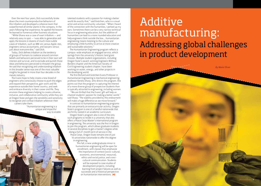Over the next four years, Dick successfully broke down the most counterproductive behaviors of this tribalism and developed a cohesive team that outperformed all similar plants in the company. In the years following that experience, he applied the lessons he learned to numerous other business situations.

"While Ghana was a case of overt tribalism — and relatively easy to spot — I was able to generalize and apply the lessons in dozens of much more subtle cases of tribalism, such as IBM-ers versus Apple-ites, engineers versus accountants, and lawyers versus just about everyone else," said Dick.

Today, Dick defines tribalism as the tendency of groups of humans to coalesce around common beliefs and behaviors perceived to be in their own self interest and survival, and to exclude and punish those ideas and behaviors perceived to threaten the group. He said that recognizing and understanding tribalism in this broader sense was one of the most valuable insights he gained in more than four decades in the metals industry.

The Evans hope to help create a new breed of engineers who consciously choose to push the edges and expand their perspective, gain work and life experience outside their home country, and seek and embrace diversity in their career and life. They envision these engineers helping to create a diverse, inclusive, and collaborative community while they are at Oregon State and gain the sensibility and sensitivity to recognize and combat tribalism wherever their careers take them.

> "Humanitarian engineering is a unique and impactful way to enable

talented students with a passion for making a better world do exactly that," said Gretchen, who is a visual artist and active community volunteer. "When I heard of the connection with the humanities, I perked up my ears. Sometimes there can be a very narrow technical focus in engineering education, but the addition of humanities can lead to a more rounded education and help engineers think outside the box… Humanitarian engineering means listening to the culture and employing a little humility to arrive at more creative and sustainable solutions."

The Humanitarian Engineering program reflects a campus-wide emphasis on engaged service, which springs from the university's historic land grant mission. Multiple student organizations, including Oregon State's award-winning Engineers Without Borders chapter and the American Society of Civil Engineering student chapter, have been working on water, energy, and other projects in the developing world.

The first Richard and Gretchen Evans Professor in Humanitarian Engineering is mechanical engineering professor Kendra Sharp, who directs the program. She points out that the program is capturing the interest of a more diverse group of prospective students than is typically attracted to engineering, including women.

 "We are thrilled that the Evans' gift will help us channel students' passion for making a better world," said Sharp. "The stability provided by this endowment will make a huge difference as we move forward."

In contrast to humanitarian engineering programs that are primarily an extracurricular activity, Oregon State's program is one of a handful nationwide that are firmly rooted in an academic curriculum.

Oregon State's program also is one of the only such programs to reside in a university that also offers a Peace Corps Master's International program in engineering. The university was the first in Oregon to join this program, which allows graduate students in several disciplines to get a master's degree while doing a full 27-month term of service in the Peace Corps. Oregon State remains one of just 10 universities nationwide to offer this degree in engineering.

> This fall, a new undergraduate minor in humanitarian engineering will be open for enrollment, with classes that emphasize the importance of context (socio-cultural, economic, environmental, resource), ethics and social justice, and crosscultural communication. Students will be exposed to case studies of development projects, including learning from project failures as well as successes and a historical perspective on humanitarian interventions. M!

# Additive manufacturing: Addressing global challenges in product development

*By Marie Oliver*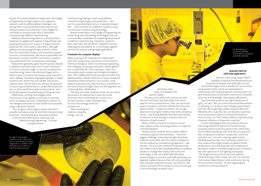As part of its newly adopted strategic plan, the College of Engineering strongly supports four signature research areas to address global challenges, and among them is advanced manufacturing. Several research projects are underway in the college that contribute to one particular form of advanced manufacturing: additive manufacturing.

Additive manufacturing refers to a process where materials are applied with spatial, compositional, and quantitative precision to create 3-D objects and the patterned thin-films used in electronics. Although additive manufacturing has been around in some form for nearly half a century, the movement toward economic, environmental, and social sustainability has led industry and the scientific community to explore new potentials for this revolutionary technology.

Researchers generally agree that the primary benefit to additive manufacturing is that it saves 90 percent or more in materials usage. In contrast to subtractive manufacturing, where manufacturers begin with a block or layer of material and remove what they don't want, additive manufacturing applies powders or liquid solutions only where they are needed. The process requires fewer natural resources and has the potential to vastly improve performance, enable distributed and just-in-time manufacturing for more products, and drastically reduce manufacturing and shipping costs. Additionally, printing technologies allow

functionality to be applied to all kinds of materials and in all shapes and sizes, enabling the creation of new designs and products that would not be possible using traditional methods.

"You can get to more organic shapes that aren't possible to produce using conventional manufacturing processes," said Karl Haapala, associate professor in the School of Mechanical, Industrial, and Manufacturing Engineering. "I've seen examples where

On page 9, Xiaosong Du shows an array of fabricated sensors and one sensor already integrated on a catheter. Here, the same array of sensors is shown during processing.

manufacturing tooling is made using additive manufacturing that goes into production — let's say for a specialized geometry or a specially shaped part — that would be very difficult to produce using conventional manufacturing technology."

Several researchers in the College of Engineering are researching new and existing technologies that use or are excellent candidates for exploiting the potential of additive manufacturing: transistors, quantum dots, solar cells, and biosensors. Engineers are also exploring the possibilities for 3-D printing magnetic particles for various cutting-edge applications.

### Transistors for computer displays

While working at HP, Greg Herman collaborated with Chih-Hung Chang, a professor in the School of Chemical, Biological, and Environmental Engineering, and colleagues to develop and patent indium gallium zinc-oxide (IGZO) thin-film transistors, which are now widely used in display technologies like Apple's iPad. Their collaboration broke new ground when they applied solution-based methods to create transparent amorphous oxide transistors, such as IGZO, using additive manufacturing. Now Herman is a professor in the same school at Oregon State and the engineers are continuing their collaboration.

"The idea with these methods is that we can reduce the amount of material that's used, but at the same time this is something we can do in our lab with a printer, under conditions that are much less energy intensive," said Herman.

"We're wasting less material, using less energy, and can

ultimately make lower cost displays that perform better."

The precursors used in this process are also less toxic and much less flammable than those used for silicon-based devices. They use much less water to produce, and tests indicate that they may perform better. "Using our material, we can get about 30 times higher mobility than with amorphous silicon," said Chang. Mobility describes how quickly an electron moves through a material, and is an indication of performance.

Work remains to be done to improve certain other aspects of the technology before it is ready for commercialization.

Manufacturers could be slow to adopt additive manufacturing into their processes. "I think the biggest challenge is that even though the printed materials work really well, the industry standard is still the subtractive manufacturing approach," said Herman. "So it is a new method of manufacturing that needs to be further developed before a company decides to change their display fab to this new technology. It will more likely take hold when products begin to transition to flexible substrates (as opposed to glass), because they will end up building new manufacturing lines anyway. But there is a fair amount of interest from industry in terms of moving to this technology to reduce costs."

Kamesh Mullapudi examines patterned eclectrodes on a prepared polyimide substrate.

### Quantum dots for solid state applications

Herman is also using copper indium disulfide to improve the photoluminescent properties of displays and other light sources. Some technologies, such as Kindle Fire, are currently using quantum dots, which are semiconductor nanocrystals with unique properties. Quantum dots can give manufacturers much better control over the quality and color of emitted light, and improve efficiencies.

"Quantum dots produce very tight distribution of light," he said, "We can control how broad the emission is, allowing us to produce much sharper greens,blues, and reds. But to get high-quality quantum dots that efficiently emit a specific color can be fairly expensive, and manufacturers want to minimize the waste as much as they can. That's where additive manufacturing improves utilization of expensive materials."

 Current technologies that use quantum dots are built using traditional subtractive manufacturing processes and incorporate quantum dots where they are not effectively being used. They also use quantum dots composed of cadmium compounds, which are relatively toxic. Herman is testing copper indium disulfide quantum dots, but is seeking a patent for a new material that might produce as good or better performance. He is working with two companies to develop an additive manufacturing process to improve the color spectrum of LED lighting and displays. "The integration of quantum dots with additive manufacturing is still a couple years off, but could be much sooner depending on what we discover during the next several months," he said, regarding the timeline for commercialization.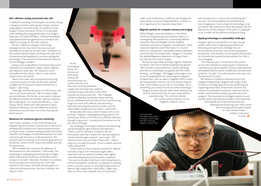### Anti-reflective coating and printed solar cells

In addition to working on the display transistors, Chang is deeply involved in seeking solar energy solutions using additive manufacturing. He is director of the Oregon Process Innovation Center for Sustainable Solar Cell Manufacturing and founder of an Oregon State spin-off called CSD Nano. CSD Nano developed and patented the next generation of nanotech antireflective coatings for the solar industry.

The anti-reflective coating is made using nanoparticle inks that mimic the structure and antireflection properties of moth eyes. CSD Nano is in the market research phase, working with solar farms to determine the feasibility for commercializing the technology. A fair amount of international interest in this technology is evident.

Chang is also using additive manufacturing to print chalcopyrite (composed of copper, indium, gallium, and selenium) solar cells. The material is much more efficient than silicon, which is now used to manufacture solar panels.

"Most of the solar cells are manufactured using a vacuum process to make the film that captures sunlight, but the process is slower and the cost is higher," said Chang.

 Although commercialization is on the horizon, the team is not quite ready yet. "We're at about eight percent efficiency for the ink, so we need to improve the efficiency before we consider commercialization. We're looking for 12 to 15 percent efficiency," said Chang. Silicon-based solar cells operate at about 18 percent efficiency, but that difference could be balanced out by the lower cost of the chalcopyritebased version.

### Biosensors for continuous glucose monitoring

John Conley, professor in the School of Electrical Engineering and Computer Science and co-director of the Materials Synthesis and Characterization facility at Oregon State, has been working closely with Pacific Diabetes Technologies to build the biosensors for what will eventually become an artificial pancreas. The research team is working on the second generation of the device, which is more robust and reliable than the first generation.

"We've helped them improve the adhesion of the biosensors to the substrates," said Conley. The technology is undergoing animal testing at Oregon Health and Sciences University in Portland and on campus in Corvallis. "Basically, the idea is to combine continuous glucose monitoring with controlled injection of hormones, and their ultimate goal is to make an artificial pancreas, but they're doing it one step at a time."

At this prototyping phase, the devices are built using subtractive manufacturing, but Conley, Herman, and their team recently published a paper that describes how additive manufacturing could reduce costs when moving into mass production. "The challenge will be to redevelop an already robust working sensor, developed with the subtractive manufacturing, to get it to work with additive manufacturing basically reworking the process to make sure the layers adhere properly to each other," said Conley. He describes the vision, which involves roll-to-roll printing: "Imagine a newspaper printing process, but instead you would run the film of our flexible substrate through a big printer. It would print the sensors as the

film zooms through." The challenges in moving to additive manufacturing will be finding the right materials and chemistry. "There's a lot of chemistry involved in the ink formulation, and that's where the chemical engineers and the chemists get involved," said Conley. "The chemistry has to be such that it flows well — doesn't clog up or corrode the printer. It has to adhere well and make a dense film."

Conley observes that materials research for additive manufacturing is still in the early stages. Many materials must be stored or handled under tightly controlled temperatures and humidity conditions. "You want to be able to do this at room temperature in normal atmospheric conditions, as opposed to needing either a vacuum system or very high temperatures to deposit high-quality films, said Conley. "Right now, there are only a few materials that can be printed

under room temperature conditions and still give the same quality as vacuum deposited films, so there's a lot of opportunity for materials researchers."

### Magnetic particles for computer memory and imaging

Pallavi Dhagat, associate professor in the School of Electrical Engineering and Computer Science, is investigating the potential for customizing additive manufacturing technologies to print magnetic materials composed of magnetic nanoparticles. These materials might be used in the future to 3-D print electronic components, nonvolatile memory elements, and even fully functional motors. Dhagat co-founded the Applied Magnetics laboratory at Oregon State the only lab of its kind in Oregon.

The lab has been inkjet printing magnetic materials for about a year and is already breaking new ground. "We've shown some preliminary results indicating that there is something to be gained with the inkjet printing," said Dhagat. "The biggest advantage is that as you're dropping the ink containing the magnetic nanoparticles, you can apply a magnetic field to orient the nanoparticles, and you can do so drop by drop by drop, which means you can do it in any shape. This is something you cannot do with any other technology." Dhagat envisions the day when three-dimensional devices will be built layer by layer using additive manufacturing. "You can have several jets: one for optical material, one for magnetic material, one to

print the electronics, one to print something else," she said. "So the possibilities are limited only by one's imagination, if we can get the technology to be successful. We could print a robot that already has the electronics and the program to do what it's supposed to do. It walks off the platform and does its thing."

### Applying technology to sustainability challenges

Haapala's goal as a researcher is to take a broad, system-level view of engineering problems by analyzing each particular challenge from an environmental, economic, and social sustainability perspective. Until recently, he was specifically focused on conventional manufacturing methods, but that is now changing.

"Over the past year, I've started to focus more on how the methods I'm exploring for conventional manufacturing can be applied to better understand the sustainability performance of additively manufactured products," he said. "It's really become a hot topic over the last five to 10 years."

The research on additive manufacturing in the College of Engineering is aligned with Oregon State University's strategic goal of actively promoting and supporting researchers whose work advances the science of sustainable ecosystems, improves human health, and promotes economic growth and social progress. This innovative technological solution could provide vastly improved functionality while drastically reducing the use of natural resources and lowering manufacturing costs. Early results are promising, and the opportunities for more research seem endless at this point in time. M!

Han Song makes final adjustments before printing a sample image with ink containing magnetic nanoparticles.